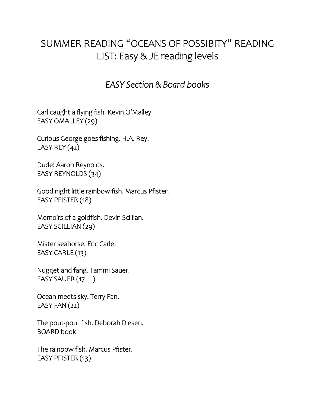## SUMMER READING "OCEANS OF POSSIBITY" READING LIST: Easy & JE reading levels

### *EASY Section & Board books*

Carl caught a flying fish. Kevin O'Malley. EASY OMALLEY (29)

Curious George goes fishing. H.A. Rey. EASY REY (42)

Dude! Aaron Reynolds. EASY REYNOLDS (34)

Good night little rainbow fish. Marcus Pfister. EASY PFISTER (18)

Memoirs of a goldfish. Devin Scillian. EASY SCILLIAN (29)

Mister seahorse. Eric Carle. EASY CARLE (13)

Nugget and fang. Tammi Sauer. EASY SAUER (17)

Ocean meets sky. Terry Fan. EASY FAN (22)

The pout-pout fish. Deborah Diesen. BOARD book

The rainbow fish. Marcus Pfister. EASY PFISTER (13)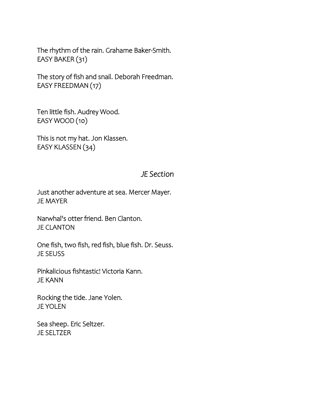The rhythm of the rain. Grahame Baker-Smith. EASY BAKER (31)

The story of fish and snail. Deborah Freedman. EASY FREEDMAN (17)

Ten little fish. Audrey Wood. EASY WOOD (10)

This is not my hat. Jon Klassen. EASY KLASSEN (34)

#### *JE Section*

Just another adventure at sea. Mercer Mayer. JE MAYER

Narwhal's otter friend. Ben Clanton. JE CLANTON

One fish, two fish, red fish, blue fish. Dr. Seuss. JE SEUSS

Pinkalicious fishtastic! Victoria Kann. JE KANN

Rocking the tide. Jane Yolen. JE YOLEN

Sea sheep. Eric Seltzer. JE SELTZER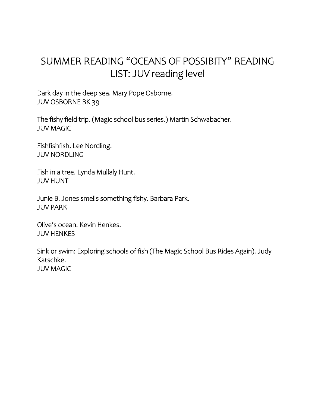# SUMMER READING "OCEANS OF POSSIBITY" READING LIST: JUV reading level

Dark day in the deep sea. Mary Pope Osborne. JUV OSBORNE BK 39

The fishy field trip. (Magic school bus series.) Martin Schwabacher. JUV MAGIC

Fishfishfish. Lee Nordling. JUV NORDLING

Fish in a tree. Lynda Mullaly Hunt. JUV HUNT

Junie B. Jones smells something fishy. Barbara Park. JUV PARK

Olive's ocean. Kevin Henkes. JUV HENKES

Sink or swim: Exploring schools of fish (The Magic School Bus Rides Again). Judy Katschke. JUV MAGIC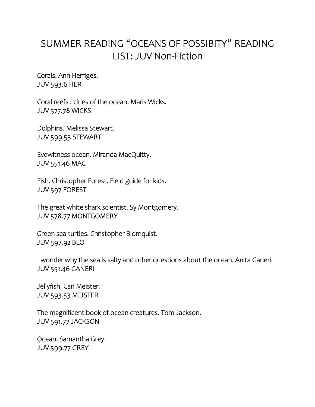## SUMMER READING "OCEANS OF POSSIBITY" READING LIST: JUV Non-Fiction

Corals. Ann Herriges. JUV 593.6 HER

Coral reefs : cities of the ocean. Maris Wicks. JUV 577.78 WICKS

Dolphins. Melissa Stewart. JUV 599.53 STEWART

Eyewitness ocean. Miranda MacQuitty. JUV 551.46 MAC

Fish. Christopher Forest. Field guide for kids. JUV 597 FOREST

The great white shark scientist. Sy Montgomery. JUV 578.77 MONTGOMERY

Green sea turtles. Christopher Blomquist. JUV 597.92 BLO

I wonder why the sea is salty and other questions about the ocean. Anita Ganeri. JUV 551.46 GANERI

Jellyfish. Cari Meister. JUV 593.53 MEISTER

The magnificent book of ocean creatures. Tom Jackson. JUV 591.77 JACKSON

Ocean. Samantha Grey. JUV 599.77 GREY